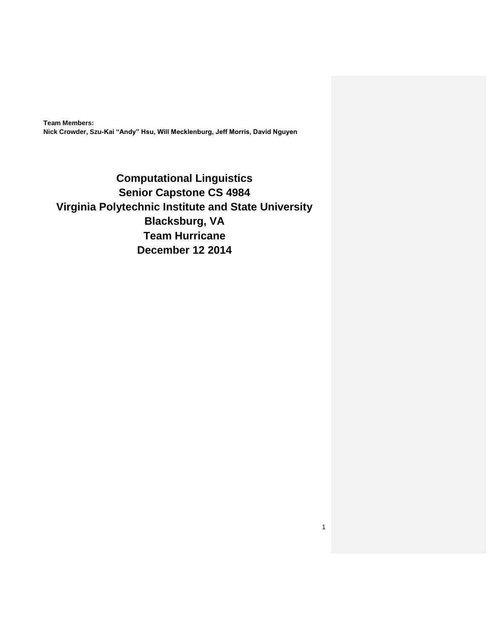**Team Members: Nick Crowder, Szu-Kai "Andy" Hsu, Will Mecklenburg, Jeff Morris, David Nguyen**

**Computational Linguistics Senior Capstone CS 4984 Virginia Polytechnic Institute and State University Blacksburg, VA Team Hurricane December 12 2014**

1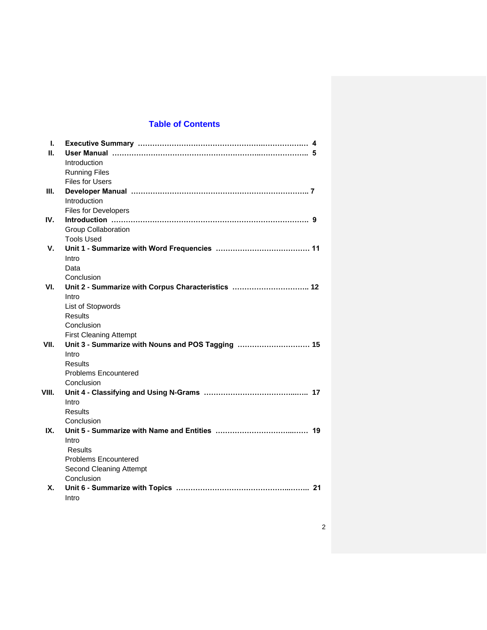## **Table of Contents**

| ı.    |                                                    |  |
|-------|----------------------------------------------------|--|
| П.    |                                                    |  |
|       | Introduction                                       |  |
|       | <b>Running Files</b>                               |  |
|       | <b>Files for Users</b>                             |  |
| Ш.    |                                                    |  |
|       | Introduction                                       |  |
|       | Files for Developers                               |  |
| IV.   |                                                    |  |
|       | Group Collaboration                                |  |
|       | <b>Tools Used</b>                                  |  |
| V.    |                                                    |  |
|       | Intro                                              |  |
|       | Data                                               |  |
|       | Conclusion                                         |  |
| VI.   | Unit 2 - Summarize with Corpus Characteristics  12 |  |
|       | Intro                                              |  |
|       | List of Stopwords                                  |  |
|       | <b>Results</b>                                     |  |
|       | Conclusion                                         |  |
|       | <b>First Cleaning Attempt</b>                      |  |
| VII.  | Unit 3 - Summarize with Nouns and POS Tagging  15  |  |
|       | Intro                                              |  |
|       | Results                                            |  |
|       | <b>Problems Encountered</b>                        |  |
|       | Conclusion                                         |  |
| VIII. |                                                    |  |
|       | Intro                                              |  |
|       | Results                                            |  |
|       | Conclusion                                         |  |
| IX.   |                                                    |  |
|       | Intro                                              |  |
|       | Results                                            |  |
|       | <b>Problems Encountered</b>                        |  |
|       | Second Cleaning Attempt                            |  |
|       | Conclusion                                         |  |
| Х.    |                                                    |  |
|       | Intro                                              |  |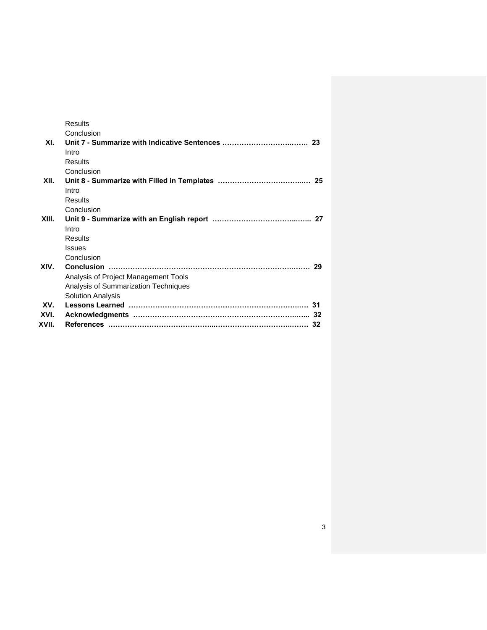|       | <b>Results</b>                       |  |
|-------|--------------------------------------|--|
|       | Conclusion                           |  |
| XI.   |                                      |  |
|       | Intro                                |  |
|       | <b>Results</b>                       |  |
|       | Conclusion                           |  |
| XII.  |                                      |  |
|       | Intro                                |  |
|       | Results                              |  |
|       | Conclusion                           |  |
| XIII. |                                      |  |
|       | Intro                                |  |
|       | Results                              |  |
|       | <b>Issues</b>                        |  |
|       | Conclusion                           |  |
| XIV.  |                                      |  |
|       | Analysis of Project Management Tools |  |
|       | Analysis of Summarization Techniques |  |
|       | <b>Solution Analysis</b>             |  |
| XV.   |                                      |  |
| XVI.  |                                      |  |
| XVII. |                                      |  |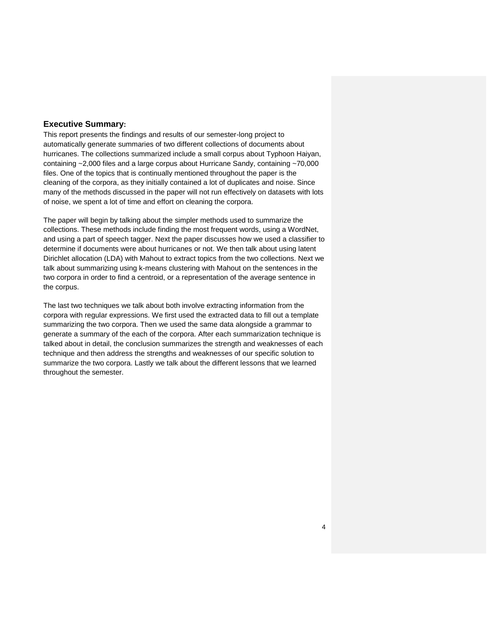## **Executive Summary:**

This report presents the findings and results of our semester-long project to automatically generate summaries of two different collections of documents about hurricanes. The collections summarized include a small corpus about Typhoon Haiyan, containing ~2,000 files and a large corpus about Hurricane Sandy, containing ~70,000 files. One of the topics that is continually mentioned throughout the paper is the cleaning of the corpora, as they initially contained a lot of duplicates and noise. Since many of the methods discussed in the paper will not run effectively on datasets with lots of noise, we spent a lot of time and effort on cleaning the corpora.

The paper will begin by talking about the simpler methods used to summarize the collections. These methods include finding the most frequent words, using a WordNet, and using a part of speech tagger. Next the paper discusses how we used a classifier to determine if documents were about hurricanes or not. We then talk about using latent Dirichlet allocation (LDA) with Mahout to extract topics from the two collections. Next we talk about summarizing using k-means clustering with Mahout on the sentences in the two corpora in order to find a centroid, or a representation of the average sentence in the corpus.

The last two techniques we talk about both involve extracting information from the corpora with regular expressions. We first used the extracted data to fill out a template summarizing the two corpora. Then we used the same data alongside a grammar to generate a summary of the each of the corpora. After each summarization technique is talked about in detail, the conclusion summarizes the strength and weaknesses of each technique and then address the strengths and weaknesses of our specific solution to summarize the two corpora. Lastly we talk about the different lessons that we learned throughout the semester.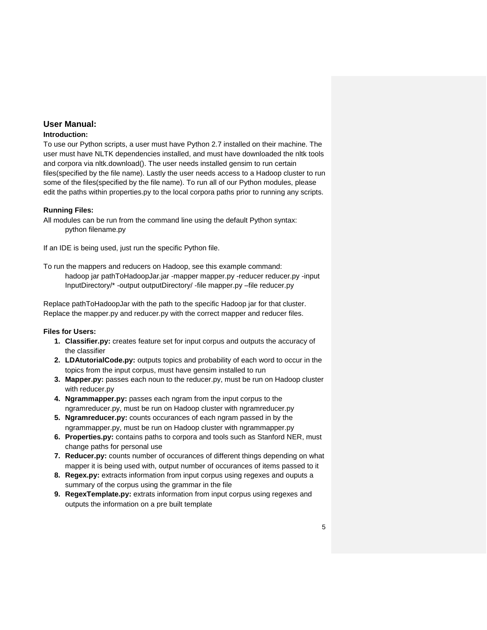## **User Manual:**

#### **Introduction:**

To use our Python scripts, a user must have Python 2.7 installed on their machine. The user must have NLTK dependencies installed, and must have downloaded the nltk tools and corpora via nltk.download(). The user needs installed gensim to run certain files(specified by the file name). Lastly the user needs access to a Hadoop cluster to run some of the files(specified by the file name). To run all of our Python modules, please edit the paths within properties.py to the local corpora paths prior to running any scripts.

#### **Running Files:**

All modules can be run from the command line using the default Python syntax: python filename.py

If an IDE is being used, just run the specific Python file.

To run the mappers and reducers on Hadoop, see this example command: hadoop jar pathToHadoopJar.jar -mapper mapper.py -reducer reducer.py -input InputDirectory/\* -output outputDirectory/ -file mapper.py –file reducer.py

Replace pathToHadoopJar with the path to the specific Hadoop jar for that cluster. Replace the mapper.py and reducer.py with the correct mapper and reducer files.

#### **Files for Users:**

- **1. Classifier.py:** creates feature set for input corpus and outputs the accuracy of the classifier
- **2. LDAtutorialCode.py:** outputs topics and probability of each word to occur in the topics from the input corpus, must have gensim installed to run
- **3. Mapper.py:** passes each noun to the reducer.py, must be run on Hadoop cluster with reducer.py
- **4. Ngrammapper.py:** passes each ngram from the input corpus to the ngramreducer.py, must be run on Hadoop cluster with ngramreducer.py
- **5. Ngramreducer.py:** counts occurances of each ngram passed in by the ngrammapper.py, must be run on Hadoop cluster with ngrammapper.py
- **6. Properties.py:** contains paths to corpora and tools such as Stanford NER, must change paths for personal use
- **7. Reducer.py:** counts number of occurances of different things depending on what mapper it is being used with, output number of occurances of items passed to it
- **8. Regex.py:** extracts information from input corpus using regexes and ouputs a summary of the corpus using the grammar in the file
- **9. RegexTemplate.py:** extrats information from input corpus using regexes and outputs the information on a pre built template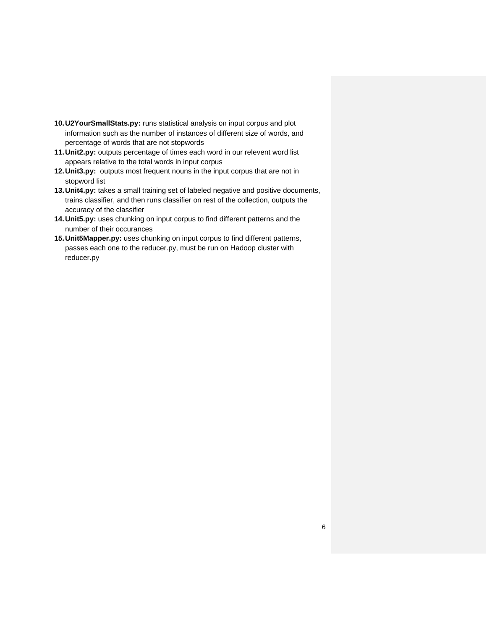- **10.U2YourSmallStats.py:** runs statistical analysis on input corpus and plot information such as the number of instances of different size of words, and percentage of words that are not stopwords
- **11.Unit2.py:** outputs percentage of times each word in our relevent word list appears relative to the total words in input corpus
- **12.Unit3.py:** outputs most frequent nouns in the input corpus that are not in stopword list
- **13.Unit4.py:** takes a small training set of labeled negative and positive documents, trains classifier, and then runs classifier on rest of the collection, outputs the accuracy of the classifier
- **14.Unit5.py:** uses chunking on input corpus to find different patterns and the number of their occurances
- **15.Unit5Mapper.py:** uses chunking on input corpus to find different patterns, passes each one to the reducer.py, must be run on Hadoop cluster with reducer.py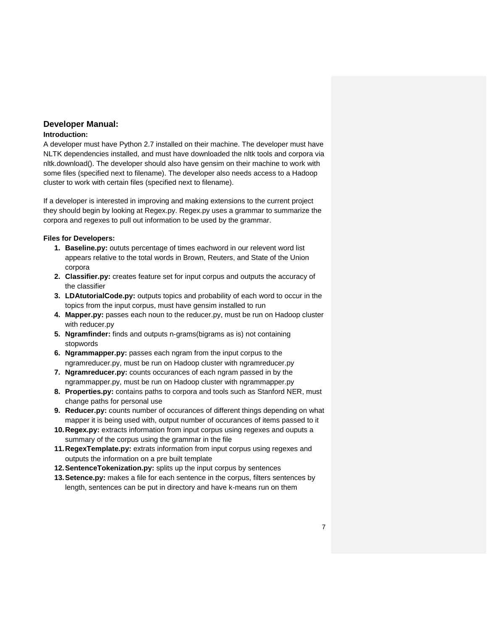# **Developer Manual:**

## **Introduction:**

A developer must have Python 2.7 installed on their machine. The developer must have NLTK dependencies installed, and must have downloaded the nltk tools and corpora via nltk.download(). The developer should also have gensim on their machine to work with some files (specified next to filename). The developer also needs access to a Hadoop cluster to work with certain files (specified next to filename).

If a developer is interested in improving and making extensions to the current project they should begin by looking at Regex.py. Regex.py uses a grammar to summarize the corpora and regexes to pull out information to be used by the grammar.

## **Files for Developers:**

- **1. Baseline.py:** oututs percentage of times eachword in our relevent word list appears relative to the total words in Brown, Reuters, and State of the Union corpora
- **2. Classifier.py:** creates feature set for input corpus and outputs the accuracy of the classifier
- **3. LDAtutorialCode.py:** outputs topics and probability of each word to occur in the topics from the input corpus, must have gensim installed to run
- **4. Mapper.py:** passes each noun to the reducer.py, must be run on Hadoop cluster with reducer.py
- **5. Ngramfinder:** finds and outputs n-grams(bigrams as is) not containing stopwords
- **6. Ngrammapper.py:** passes each ngram from the input corpus to the ngramreducer.py, must be run on Hadoop cluster with ngramreducer.py
- **7. Ngramreducer.py:** counts occurances of each ngram passed in by the ngrammapper.py, must be run on Hadoop cluster with ngrammapper.py
- **8. Properties.py:** contains paths to corpora and tools such as Stanford NER, must change paths for personal use
- **9. Reducer.py:** counts number of occurances of different things depending on what mapper it is being used with, output number of occurances of items passed to it
- **10.Regex.py:** extracts information from input corpus using regexes and ouputs a summary of the corpus using the grammar in the file
- **11.RegexTemplate.py:** extrats information from input corpus using regexes and outputs the information on a pre built template
- **12.SentenceTokenization.py:** splits up the input corpus by sentences
- **13.Setence.py:** makes a file for each sentence in the corpus, filters sentences by length, sentences can be put in directory and have k-means run on them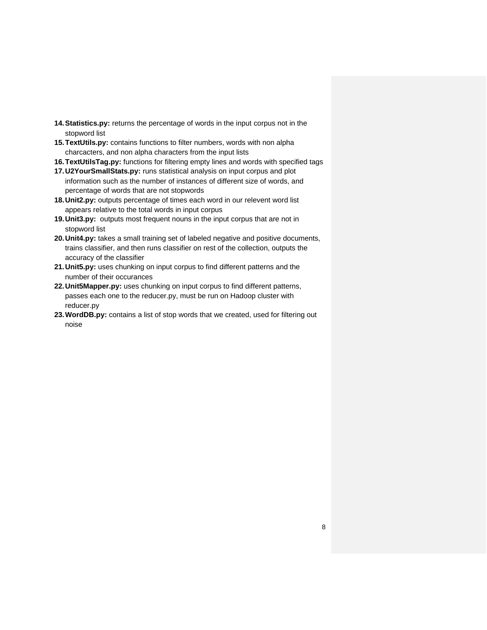- **14.Statistics.py:** returns the percentage of words in the input corpus not in the stopword list
- **15.TextUtils.py:** contains functions to filter numbers, words with non alpha charcacters, and non alpha characters from the input lists
- **16.TextUtilsTag.py:** functions for filtering empty lines and words with specified tags
- **17.U2YourSmallStats.py:** runs statistical analysis on input corpus and plot information such as the number of instances of different size of words, and percentage of words that are not stopwords
- **18.Unit2.py:** outputs percentage of times each word in our relevent word list appears relative to the total words in input corpus
- **19.Unit3.py:** outputs most frequent nouns in the input corpus that are not in stopword list
- **20.Unit4.py:** takes a small training set of labeled negative and positive documents, trains classifier, and then runs classifier on rest of the collection, outputs the accuracy of the classifier
- **21.Unit5.py:** uses chunking on input corpus to find different patterns and the number of their occurances
- **22.Unit5Mapper.py:** uses chunking on input corpus to find different patterns, passes each one to the reducer.py, must be run on Hadoop cluster with reducer.py
- **23.WordDB.py:** contains a list of stop words that we created, used for filtering out noise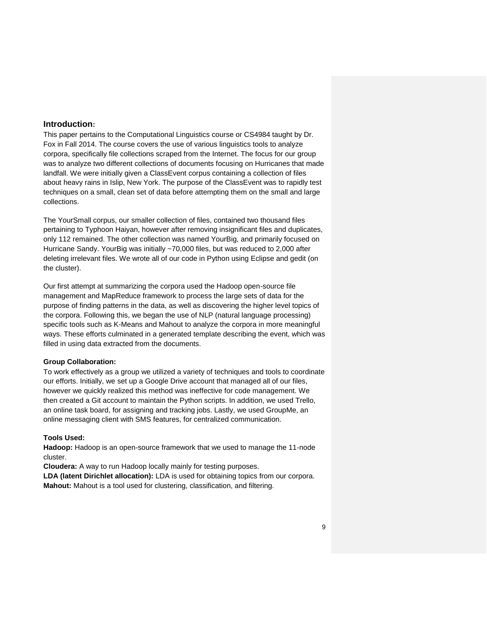#### **Introduction:**

This paper pertains to the Computational Linguistics course or CS4984 taught by Dr. Fox in Fall 2014. The course covers the use of various linguistics tools to analyze corpora, specifically file collections scraped from the Internet. The focus for our group was to analyze two different collections of documents focusing on Hurricanes that made landfall. We were initially given a ClassEvent corpus containing a collection of files about heavy rains in Islip, New York. The purpose of the ClassEvent was to rapidly test techniques on a small, clean set of data before attempting them on the small and large collections.

The YourSmall corpus, our smaller collection of files, contained two thousand files pertaining to Typhoon Haiyan, however after removing insignificant files and duplicates, only 112 remained. The other collection was named YourBig, and primarily focused on Hurricane Sandy. YourBig was initially ~70,000 files, but was reduced to 2,000 after deleting irrelevant files. We wrote all of our code in Python using Eclipse and gedit (on the cluster).

Our first attempt at summarizing the corpora used the Hadoop open-source file management and MapReduce framework to process the large sets of data for the purpose of finding patterns in the data, as well as discovering the higher level topics of the corpora. Following this, we began the use of NLP (natural language processing) specific tools such as K-Means and Mahout to analyze the corpora in more meaningful ways. These efforts culminated in a generated template describing the event, which was filled in using data extracted from the documents.

#### **Group Collaboration:**

To work effectively as a group we utilized a variety of techniques and tools to coordinate our efforts. Initially, we set up a Google Drive account that managed all of our files, however we quickly realized this method was ineffective for code management. We then created a Git account to maintain the Python scripts. In addition, we used Trello, an online task board, for assigning and tracking jobs. Lastly, we used GroupMe, an online messaging client with SMS features, for centralized communication.

#### **Tools Used:**

**Hadoop:** Hadoop is an open-source framework that we used to manage the 11-node cluster.

**Cloudera:** A way to run Hadoop locally mainly for testing purposes.

**LDA (latent Dirichlet allocation):** LDA is used for obtaining topics from our corpora. **Mahout:** Mahout is a tool used for clustering, classification, and filtering.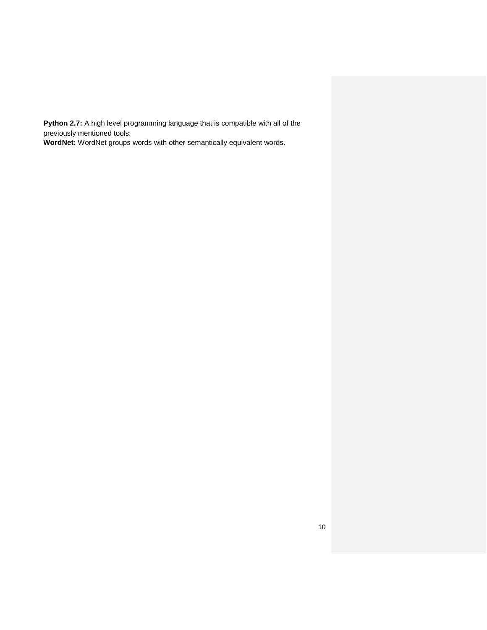**Python 2.7:** A high level programming language that is compatible with all of the previously mentioned tools.

**WordNet:** WordNet groups words with other semantically equivalent words.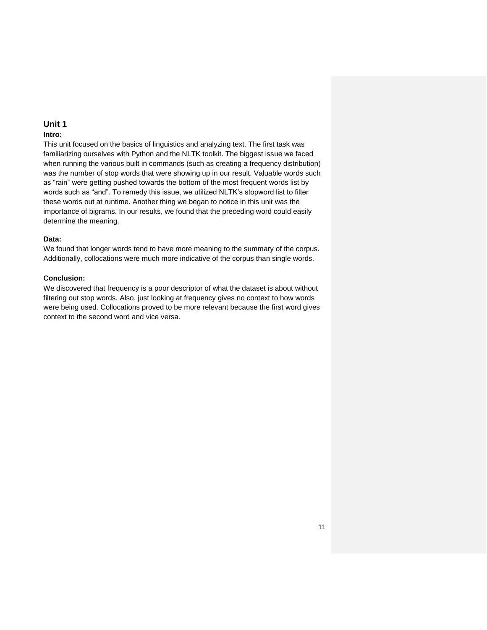#### **Intro:**

This unit focused on the basics of linguistics and analyzing text. The first task was familiarizing ourselves with Python and the NLTK toolkit. The biggest issue we faced when running the various built in commands (such as creating a frequency distribution) was the number of stop words that were showing up in our result. Valuable words such as "rain" were getting pushed towards the bottom of the most frequent words list by words such as "and". To remedy this issue, we utilized NLTK's stopword list to filter these words out at runtime. Another thing we began to notice in this unit was the importance of bigrams. In our results, we found that the preceding word could easily determine the meaning.

#### **Data:**

We found that longer words tend to have more meaning to the summary of the corpus. Additionally, collocations were much more indicative of the corpus than single words.

## **Conclusion:**

We discovered that frequency is a poor descriptor of what the dataset is about without filtering out stop words. Also, just looking at frequency gives no context to how words were being used. Collocations proved to be more relevant because the first word gives context to the second word and vice versa.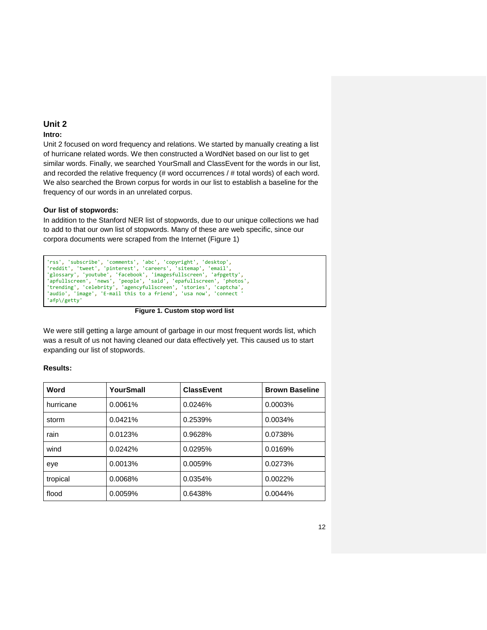#### **Intro:**

Unit 2 focused on word frequency and relations. We started by manually creating a list of hurricane related words. We then constructed a WordNet based on our list to get similar words. Finally, we searched YourSmall and ClassEvent for the words in our list, and recorded the relative frequency (# word occurrences / # total words) of each word. We also searched the Brown corpus for words in our list to establish a baseline for the frequency of our words in an unrelated corpus.

## **Our list of stopwords:**

In addition to the Stanford NER list of stopwords, due to our unique collections we had to add to that our own list of stopwords. Many of these are web specific, since our corpora documents were scraped from the Internet (Figure 1)

```
'rss', 'subscribe', 'comments', 'abc', 'copyright', 'desktop',
'reddit', 'tweet', 'pinterest', 'careers', 'sitemap', 'email',
'glossary', 'youtube', 'facebook', 'imagesfullscreen', 'afpgetty',
'apfullscreen', 'news', 'people', 'said', 'epafullscreen', 'photos',
'trending', 'celebrity', 'agencyfullscreen', 'stories', 'captcha',
'audio', 'image', 'E-mail this to a friend', 'usa now', 'connect '
'afp\/getty'
```
**Figure 1. Custom stop word list**

We were still getting a large amount of garbage in our most frequent words list, which was a result of us not having cleaned our data effectively yet. This caused us to start expanding our list of stopwords.

#### **Results:**

| Word      | YourSmall | <b>ClassEvent</b> | <b>Brown Baseline</b> |
|-----------|-----------|-------------------|-----------------------|
| hurricane | 0.0061%   | 0.0246%           | 0.0003%               |
| storm     | 0.0421%   | 0.2539%           | 0.0034%               |
| rain      | 0.0123%   | 0.9628%           | 0.0738%               |
| wind      | 0.0242%   | 0.0295%           | 0.0169%               |
| eye       | 0.0013%   | 0.0059%           | 0.0273%               |
| tropical  | 0.0068%   | 0.0354%           | 0.0022%               |
| flood     | 0.0059%   | 0.6438%           | 0.0044%               |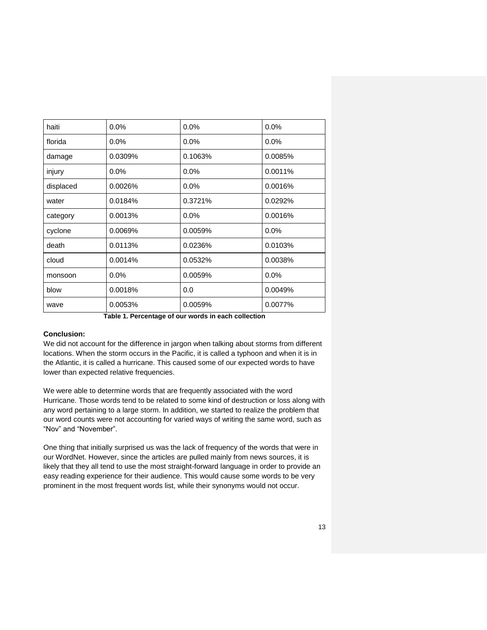| haiti<br>0.0%<br>0.0%<br>0.0% |                   |                                     |         |  |
|-------------------------------|-------------------|-------------------------------------|---------|--|
| florida                       | 0.0%              | $0.0\%$                             | 0.0%    |  |
| 0.0309%<br>damage             |                   | 0.1063%                             | 0.0085% |  |
| injury                        | 0.0%<br>0.0%      |                                     | 0.0011% |  |
| displaced<br>0.0026%<br>0.0%  |                   |                                     | 0.0016% |  |
| 0.0184%<br>water              |                   | 0.3721%                             | 0.0292% |  |
| category                      | 0.0013%           | $0.0\%$                             | 0.0016% |  |
| cyclone<br>0.0069%            |                   | 0.0059%                             | 0.0%    |  |
| death                         | 0.0113%           | 0.0236%                             | 0.0103% |  |
| cloud                         | 0.0014%           | 0.0532%                             | 0.0038% |  |
| 0.0%<br>monsoon               |                   | 0.0059%                             | 0.0%    |  |
| blow                          | 0.0018%           | 0.0                                 | 0.0049% |  |
| wave                          | 0.0053%           | 0.0059%                             | 0.0077% |  |
|                               | $\epsilon$ .<br>. | the contract of the contract of the |         |  |

**Table 1. Percentage of our words in each collection**

#### **Conclusion:**

We did not account for the difference in jargon when talking about storms from different locations. When the storm occurs in the Pacific, it is called a typhoon and when it is in the Atlantic, it is called a hurricane. This caused some of our expected words to have lower than expected relative frequencies.

We were able to determine words that are frequently associated with the word Hurricane. Those words tend to be related to some kind of destruction or loss along with any word pertaining to a large storm. In addition, we started to realize the problem that our word counts were not accounting for varied ways of writing the same word, such as "Nov" and "November".

One thing that initially surprised us was the lack of frequency of the words that were in our WordNet. However, since the articles are pulled mainly from news sources, it is likely that they all tend to use the most straight-forward language in order to provide an easy reading experience for their audience. This would cause some words to be very prominent in the most frequent words list, while their synonyms would not occur.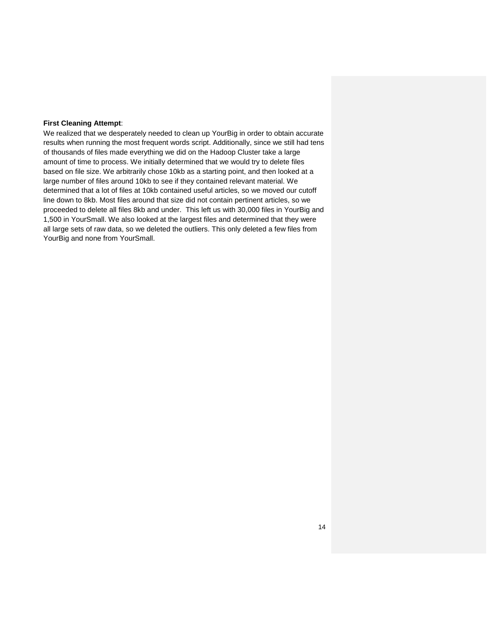#### **First Cleaning Attempt**:

We realized that we desperately needed to clean up YourBig in order to obtain accurate results when running the most frequent words script. Additionally, since we still had tens of thousands of files made everything we did on the Hadoop Cluster take a large amount of time to process. We initially determined that we would try to delete files based on file size. We arbitrarily chose 10kb as a starting point, and then looked at a large number of files around 10kb to see if they contained relevant material. We determined that a lot of files at 10kb contained useful articles, so we moved our cutoff line down to 8kb. Most files around that size did not contain pertinent articles, so we proceeded to delete all files 8kb and under. This left us with 30,000 files in YourBig and 1,500 in YourSmall. We also looked at the largest files and determined that they were all large sets of raw data, so we deleted the outliers. This only deleted a few files from YourBig and none from YourSmall.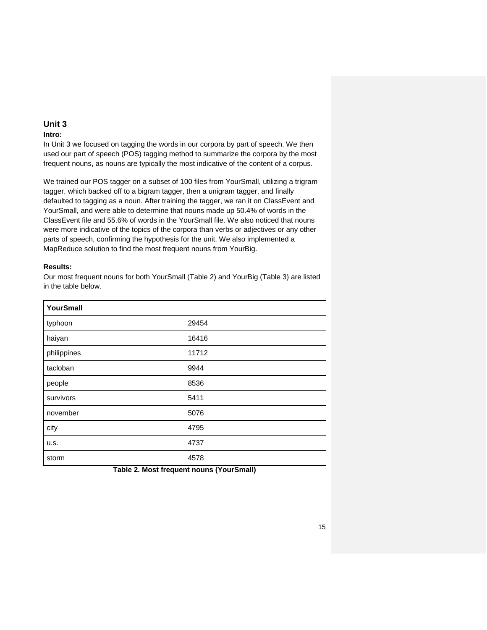#### **Intro:**

In Unit 3 we focused on tagging the words in our corpora by part of speech. We then used our part of speech (POS) tagging method to summarize the corpora by the most frequent nouns, as nouns are typically the most indicative of the content of a corpus.

We trained our POS tagger on a subset of 100 files from YourSmall, utilizing a trigram tagger, which backed off to a bigram tagger, then a unigram tagger, and finally defaulted to tagging as a noun. After training the tagger, we ran it on ClassEvent and YourSmall, and were able to determine that nouns made up 50.4% of words in the ClassEvent file and 55.6% of words in the YourSmall file. We also noticed that nouns were more indicative of the topics of the corpora than verbs or adjectives or any other parts of speech, confirming the hypothesis for the unit. We also implemented a MapReduce solution to find the most frequent nouns from YourBig.

## **Results:**

Our most frequent nouns for both YourSmall (Table 2) and YourBig (Table 3) are listed in the table below.

| YourSmall   |       |  |  |  |
|-------------|-------|--|--|--|
| typhoon     | 29454 |  |  |  |
| haiyan      | 16416 |  |  |  |
| philippines | 11712 |  |  |  |
| tacloban    | 9944  |  |  |  |
| people      | 8536  |  |  |  |
| survivors   | 5411  |  |  |  |
| november    | 5076  |  |  |  |
| city        | 4795  |  |  |  |
| u.s.        | 4737  |  |  |  |
| storm       | 4578  |  |  |  |

**Table 2. Most frequent nouns (YourSmall)**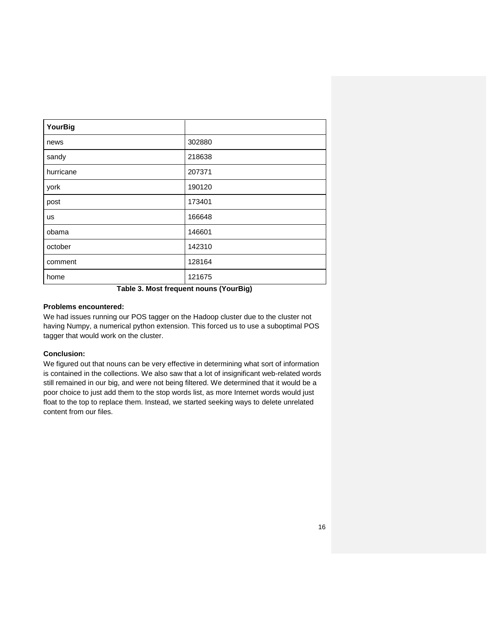| <b>YourBig</b> |        |  |  |  |  |
|----------------|--------|--|--|--|--|
| news           | 302880 |  |  |  |  |
| sandy          | 218638 |  |  |  |  |
| hurricane      | 207371 |  |  |  |  |
| york           | 190120 |  |  |  |  |
| post           | 173401 |  |  |  |  |
| <b>us</b>      | 166648 |  |  |  |  |
| obama          | 146601 |  |  |  |  |
| october        | 142310 |  |  |  |  |
| comment        | 128164 |  |  |  |  |
| home           | 121675 |  |  |  |  |

**Table 3. Most frequent nouns (YourBig)**

#### **Problems encountered:**

We had issues running our POS tagger on the Hadoop cluster due to the cluster not having Numpy, a numerical python extension. This forced us to use a suboptimal POS tagger that would work on the cluster.

## **Conclusion:**

We figured out that nouns can be very effective in determining what sort of information is contained in the collections. We also saw that a lot of insignificant web-related words still remained in our big, and were not being filtered. We determined that it would be a poor choice to just add them to the stop words list, as more Internet words would just float to the top to replace them. Instead, we started seeking ways to delete unrelated content from our files.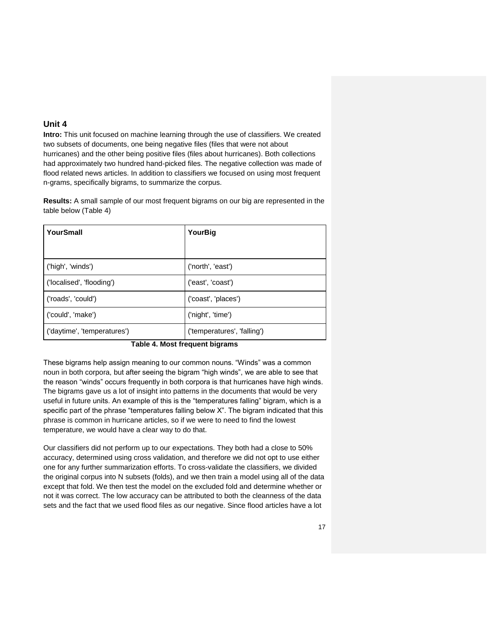**Intro:** This unit focused on machine learning through the use of classifiers. We created two subsets of documents, one being negative files (files that were not about hurricanes) and the other being positive files (files about hurricanes). Both collections had approximately two hundred hand-picked files. The negative collection was made of flood related news articles. In addition to classifiers we focused on using most frequent n-grams, specifically bigrams, to summarize the corpus.

**Results:** A small sample of our most frequent bigrams on our big are represented in the table below (Table 4)

| YourSmall                   | YourBig                     |  |  |  |
|-----------------------------|-----------------------------|--|--|--|
|                             |                             |  |  |  |
| ('high', 'winds')           | ('north', 'east')           |  |  |  |
| ('localised', 'flooding')   | ('east', 'coast')           |  |  |  |
| ('roads', 'could')          | ('coast', 'places')         |  |  |  |
| ('could', 'make')           | ('night', 'time')           |  |  |  |
| ('daytime', 'temperatures') | ('temperatures', 'falling') |  |  |  |

#### **Table 4. Most frequent bigrams**

These bigrams help assign meaning to our common nouns. "Winds" was a common noun in both corpora, but after seeing the bigram "high winds", we are able to see that the reason "winds" occurs frequently in both corpora is that hurricanes have high winds. The bigrams gave us a lot of insight into patterns in the documents that would be very useful in future units. An example of this is the "temperatures falling" bigram, which is a specific part of the phrase "temperatures falling below X". The bigram indicated that this phrase is common in hurricane articles, so if we were to need to find the lowest temperature, we would have a clear way to do that.

Our classifiers did not perform up to our expectations. They both had a close to 50% accuracy, determined using cross validation, and therefore we did not opt to use either one for any further summarization efforts. To cross-validate the classifiers, we divided the original corpus into N subsets (folds), and we then train a model using all of the data except that fold. We then test the model on the excluded fold and determine whether or not it was correct. The low accuracy can be attributed to both the cleanness of the data sets and the fact that we used flood files as our negative. Since flood articles have a lot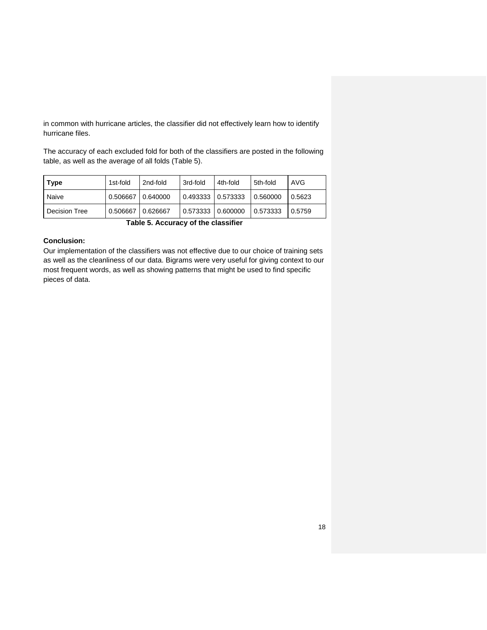in common with hurricane articles, the classifier did not effectively learn how to identify hurricane files.

The accuracy of each excluded fold for both of the classifiers are posted in the following table, as well as the average of all folds (Table 5).

| 1st-fold<br>  Type |                     | 2nd-fold | 3rd-fold          | 4th-fold            | 5th-fold | AVG    |
|--------------------|---------------------|----------|-------------------|---------------------|----------|--------|
| Naive              | 0.506667   0.640000 |          |                   | 0.493333   0.573333 | 0.560000 | 0.5623 |
| Decision Tree      | 0.506667            | 0.626667 | 0.573333 0.600000 |                     | 0.573333 | 0.5759 |

**Table 5. Accuracy of the classifier** 

## **Conclusion:**

Our implementation of the classifiers was not effective due to our choice of training sets as well as the cleanliness of our data. Bigrams were very useful for giving context to our most frequent words, as well as showing patterns that might be used to find specific pieces of data.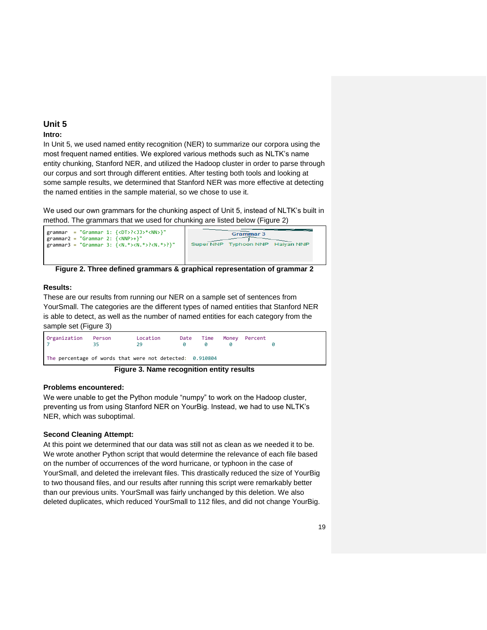## **Intro:**

In Unit 5, we used named entity recognition (NER) to summarize our corpora using the most frequent named entities. We explored various methods such as NLTK's name entity chunking, Stanford NER, and utilized the Hadoop cluster in order to parse through our corpus and sort through different entities. After testing both tools and looking at some sample results, we determined that Stanford NER was more effective at detecting the named entities in the sample material, so we chose to use it.

We used our own grammars for the chunking aspect of Unit 5, instead of NLTK's built in method. The grammars that we used for chunking are listed below (Figure 2)



**Figure 2. Three defined grammars & graphical representation of grammar 2**

## **Results:**

These are our results from running our NER on a sample set of sentences from YourSmall. The categories are the different types of named entities that Stanford NER is able to detect, as well as the number of named entities for each category from the sample set (Figure 3)

| Organization | Person | Location<br>29                                           | Date | Time | Money Percent |  |
|--------------|--------|----------------------------------------------------------|------|------|---------------|--|
|              |        | The percentage of words that were not detected: 0.910804 |      |      |               |  |
|              |        | Figure 3. Name recognition entity results                |      |      |               |  |

#### **Problems encountered:**

We were unable to get the Python module "numpy" to work on the Hadoop cluster, preventing us from using Stanford NER on YourBig. Instead, we had to use NLTK's NER, which was suboptimal.

## **Second Cleaning Attempt:**

At this point we determined that our data was still not as clean as we needed it to be. We wrote another Python script that would determine the relevance of each file based on the number of occurrences of the word hurricane, or typhoon in the case of YourSmall, and deleted the irrelevant files. This drastically reduced the size of YourBig to two thousand files, and our results after running this script were remarkably better than our previous units. YourSmall was fairly unchanged by this deletion. We also deleted duplicates, which reduced YourSmall to 112 files, and did not change YourBig.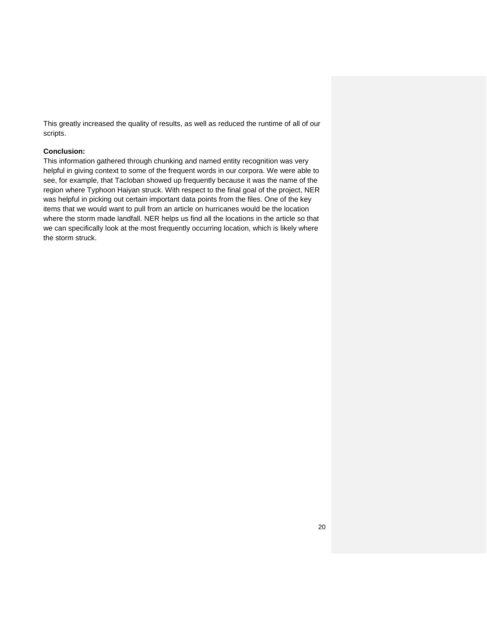This greatly increased the quality of results, as well as reduced the runtime of all of our scripts.

#### **Conclusion:**

This information gathered through chunking and named entity recognition was very helpful in giving context to some of the frequent words in our corpora. We were able to see, for example, that Tacloban showed up frequently because it was the name of the region where Typhoon Haiyan struck. With respect to the final goal of the project, NER was helpful in picking out certain important data points from the files. One of the key items that we would want to pull from an article on hurricanes would be the location where the storm made landfall. NER helps us find all the locations in the article so that we can specifically look at the most frequently occurring location, which is likely where the storm struck.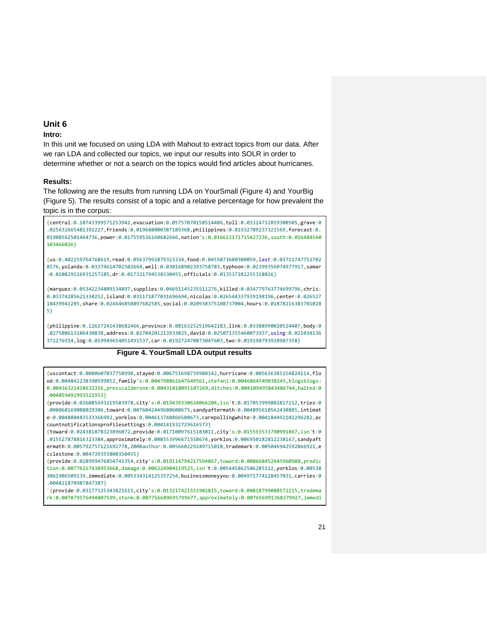#### **Intro:**

In this unit we focused on using LDA with Mahout to extract topics from our data. After we ran LDA and collected our topics, we input our results into SOLR in order to determine whether or not a search on the topics would find articles about hurricanes.

#### **Results:**

The following are the results from running LDA on YourSmall (Figure 4) and YourBig (Figure 5). The results consist of a topic and a relative percentage for how prevalent the topic is in the corpus:

{central:0.10743399571253942,evacuation:0.05757070158514486,toll:0.03324732859300505,grave:0 .025632665481392227,friends:0.019688000387189368,philippines:0.01932789237321569,forecast:0. 01908562501464736,power:0.017559536160682666,nation's:0.016622171715427236,south:0.016484560 103466026}

{us:0.402259764768619,read:0.05637992879323334,food:0.0455073680380059,last:0.03711747751702 8576,yolanda:0.03374614702502664,well:0.030168902393758783,typhoon:0.02399356074977917,samar :0.020829116931257285,dr:0.017321794538330455,officials:0.013537282255318816}

{marquez:0.05342234809134897,supplies:0.04691145235511276,killed:0.034779763774699796,chris: 0.03374285621330252,island:0.031171877031696694,nicolas:0.026544337939198196,center:0.026527 18439941285,share:0.024646858897682585,social:0.020938375108737004,hours:0.01878216383701028 5}

{philippine:0.12627241438682466,province:0.08163252519642183,link:0.03388990020524407,body:0 .027508613106430838,address:0.02704201213933025,david:0.025071355460073937,using:0.021034136 371276914,log:0.019949654051491537,car:0.019272470873047603,two:0.019198793928987358}

#### **Figure 4. YourSmall LDA output results**

{uscontact:0.0080607037758998,stayed:0.006751698739980142,hurricane:0.005636385154824114,flo od:0.004842238390599852,family's:0.004798862647649561,stefani:0.0046864549038245,blogsblogs: 0.00436321418632316,presscalderone:0.00431818091107269,ditches:0.004109495843486744,halted:0 .004059492993521953}

{provide:0.026085693219503978,city's:0.019439330634066204,isn't:0.017053999802817212,tries:0 .008068169088029306,toward:0.0076042449680600675,sandyaftermath:0.004895610562430885,intimat e:0.004880483533366992,yorklos:0.004613748866580673,carepollingwhite:0.004184492102296282,ac countnotificationsprofilesettings:0.004141932729616573}

{toward:0.024381878323896072,provide:0.01710097615183011,city's:0.015593533790991867,isn't:0 .015527878816323384,approximately:0.008553996671558674,yorklos:0.006950182812238167,sandyaft ermath:0.005792757121692778,2008author:0.005660229249715018,trademark:0.005046942592866921,e cclestone:0.004739355800350455}

{provide:0.028999476854741354,city's:0.019114794217594867,toward:0.008668452645960988,predic tion:0.00776217438953668,damage:0.006224904119525,isn't:0.005445862506285112,yorklos:0.00538 3061906509139,immediate:0.005334314125357254,businessmoneyyou:0.004971774128457031,carries:0 .004821870987847387}

`{provide:0.03177325343821615,city's:0.013217421551902815,toward:0.00818799088572215,tradema rk:0.007879576494807599,storm:0.007756689695799677,approximately:0.007656991368379927,immedi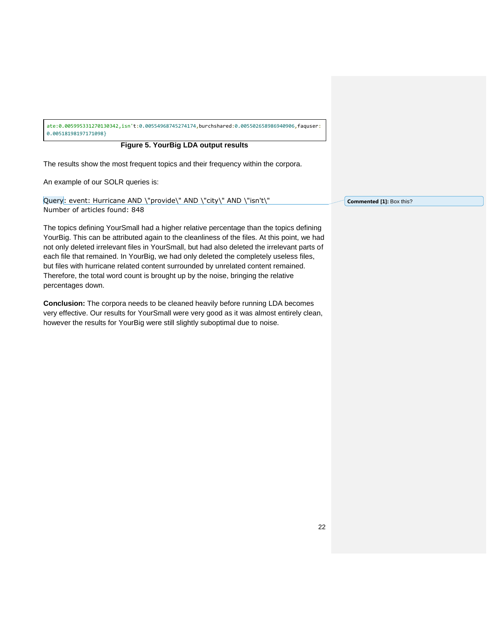ate:0.005995331270130342,isn't:0.00554968745274174,burchshared:0.005502658986940906,faquser: 0.00518198197171098}

## **Figure 5. YourBig LDA output results**

The results show the most frequent topics and their frequency within the corpora.

An example of our SOLR queries is:

Query: event: Hurricane AND \"provide\" AND \"city\" AND \"isn't\" Number of articles found: 848

The topics defining YourSmall had a higher relative percentage than the topics defining YourBig. This can be attributed again to the cleanliness of the files. At this point, we had not only deleted irrelevant files in YourSmall, but had also deleted the irrelevant parts of each file that remained. In YourBig, we had only deleted the completely useless files, but files with hurricane related content surrounded by unrelated content remained. Therefore, the total word count is brought up by the noise, bringing the relative percentages down.

**Conclusion:** The corpora needs to be cleaned heavily before running LDA becomes very effective. Our results for YourSmall were very good as it was almost entirely clean, however the results for YourBig were still slightly suboptimal due to noise.

**Commented [1]:** Box this?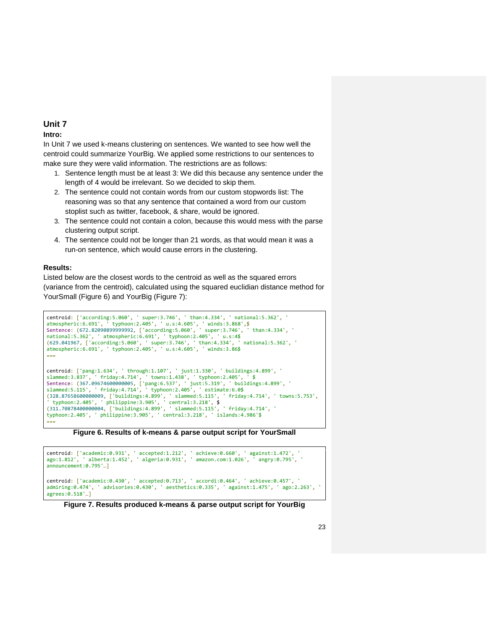#### **Intro:**

In Unit 7 we used k-means clustering on sentences. We wanted to see how well the centroid could summarize YourBig. We applied some restrictions to our sentences to make sure they were valid information. The restrictions are as follows:

- 1. Sentence length must be at least 3: We did this because any sentence under the length of 4 would be irrelevant. So we decided to skip them.
- 2. The sentence could not contain words from our custom stopwords list: The reasoning was so that any sentence that contained a word from our custom stoplist such as twitter, facebook, & share, would be ignored.
- 3. The sentence could not contain a colon, because this would mess with the parse clustering output script.
- 4. The sentence could not be longer than 21 words, as that would mean it was a run-on sentence, which would cause errors in the clustering.

## **Results:**

Listed below are the closest words to the centroid as well as the squared errors (variance from the centroid), calculated using the squared euclidian distance method for YourSmall (Figure 6) and YourBig (Figure 7):

```
centroid: ['according:5.060', ' super:3.746', ' than:4.334', ' national:5.362', ' 
atmospheric:6.691', ' typhoon:2.405', ' u.s:4.605', ' winds:3.868',$
Sentence: (672.82090899999992, ['according:5.060', ' super:3.746', ' than:4.334', ' 
national:5.362', ' atmospheric:6.691', ' typhoon:2.405', ' u.s:4$
(629.041967, ['according:5.060', ' super:3.746', ' than:4.334', ' national:5.362', ' 
atmospheric:6.691', ' typhoon:2.405', ' u.s:4.605', ' winds:3.86$
===
centroid: ['pang:1.634', ' through:1.107', ' just:1.330', ' buildings:4.899', ' 
slammed:3.837', ' friday:4.714', ' towns:1.438', ' typhoon:2.405', ' $
Sentence: (367.09674600000005, ['pang:6.537', ' just:5.319', ' buildings:4.899', ' 
slammed:5.115', ' friday:4.714', ' typhoon:2.405', ' estimate:6.0$
(328.87658600000009, ['buildings:4.899', ' slammed:5.115', ' friday:4.714', ' towns:5.753',
' typhoon:2.405', ' philippine:3.905', ' central:3.218', $
(311.70878400000004, ['buildings:4.899', ' slammed:5.115', ' friday:4.714', ' 
typhoon:2.405', ' philippine:3.905', ' central:3.218', ' islands:4.986'$
===
```
**Figure 6. Results of k-means & parse output script for YourSmall**

```
centroid: ['academic:0.931', ' accepted:1.212', ' achieve:0.660', ' against:1.472', ' 
ago:1.812', ' alberta:1.452', ' algeria:0.931', ' amazon.com:1.026', ' angry:0.795', ' 
announcement:0.795'…]
centroid: ['academic:0.430', ' accepted:0.713', ' accordi:0.464', ' achieve:0.457', ' 
admiring:0.474', ' advisories:0.430', ' aesthetics:0.335', ' against:1.475', ' ago:2.263', ' 
agrees:0.518'…]
```
**Figure 7. Results produced k-means & parse output script for YourBig**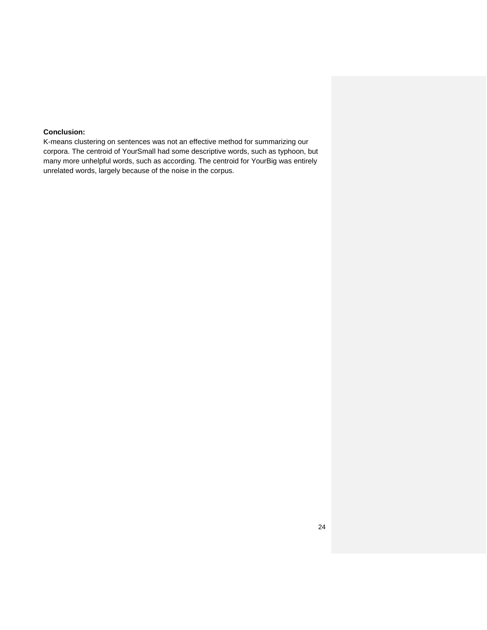## **Conclusion:**

K-means clustering on sentences was not an effective method for summarizing our corpora. The centroid of YourSmall had some descriptive words, such as typhoon, but many more unhelpful words, such as according. The centroid for YourBig was entirely unrelated words, largely because of the noise in the corpus.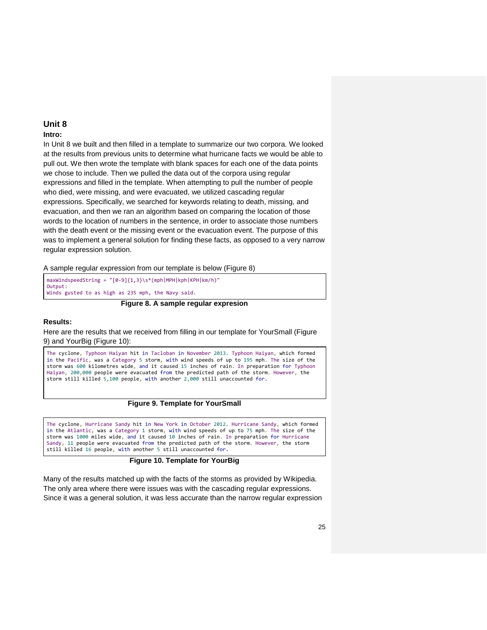#### **Intro:**

In Unit 8 we built and then filled in a template to summarize our two corpora. We looked at the results from previous units to determine what hurricane facts we would be able to pull out. We then wrote the template with blank spaces for each one of the data points we chose to include. Then we pulled the data out of the corpora using regular expressions and filled in the template. When attempting to pull the number of people who died, were missing, and were evacuated, we utilized cascading regular expressions. Specifically, we searched for keywords relating to death, missing, and evacuation, and then we ran an algorithm based on comparing the location of those words to the location of numbers in the sentence, in order to associate those numbers with the death event or the missing event or the evacuation event. The purpose of this was to implement a general solution for finding these facts, as opposed to a very narrow regular expression solution.

A sample regular expression from our template is below (Figure 8)

| $maxWindowspeedString = "[0-9]{1,3}\s*(mph MPH kph KPH km/h)$ " |  |  |  |
|-----------------------------------------------------------------|--|--|--|
| Output:                                                         |  |  |  |
| Winds gusted to as high as 235 mph, the Navy said.              |  |  |  |

**Figure 8. A sample regular expresion**

#### **Results:**

Here are the results that we received from filling in our template for YourSmall (Figure 9) and YourBig (Figure 10):

The cyclone, Typhoon Haiyan hit in Tacloban in November 2013. Typhoon Haiyan, which formed in the Pacific, was a Category 5 storm, with wind speeds of up to 195 mph. The size of the storm was 600 kilometres wide, and it caused 15 inches of rain. In preparation for Typhoon Haiyan, 200,000 people were evacuated from the predicted path of the storm. However, the storm still killed 5,100 people, with another 2,000 still unaccounted for.

#### **Figure 9. Template for YourSmall**

The cyclone, Hurricane Sandy hit in New York in October 2012. Hurricane Sandy, which formed in the Atlantic, was a Category 1 storm, with wind speeds of up to 75 mph. The size of the storm was 1000 miles wide, and it caused 10 inches of rain. In preparation for Hurricane Sandy, 11 people were evacuated from the predicted path of the storm. However, the storm still killed 16 people, with another 5 still unaccounted for.

#### **Figure 10. Template for YourBig**

Many of the results matched up with the facts of the storms as provided by Wikipedia. The only area where there were issues was with the cascading regular expressions. Since it was a general solution, it was less accurate than the narrow regular expression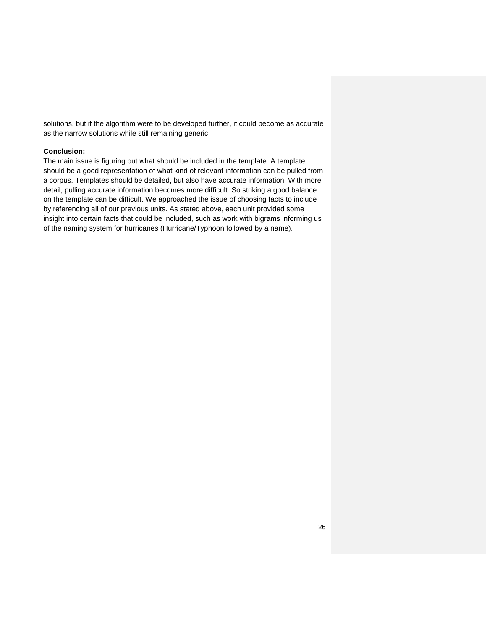solutions, but if the algorithm were to be developed further, it could become as accurate as the narrow solutions while still remaining generic.

#### **Conclusion:**

The main issue is figuring out what should be included in the template. A template should be a good representation of what kind of relevant information can be pulled from a corpus. Templates should be detailed, but also have accurate information. With more detail, pulling accurate information becomes more difficult. So striking a good balance on the template can be difficult. We approached the issue of choosing facts to include by referencing all of our previous units. As stated above, each unit provided some insight into certain facts that could be included, such as work with bigrams informing us of the naming system for hurricanes (Hurricane/Typhoon followed by a name).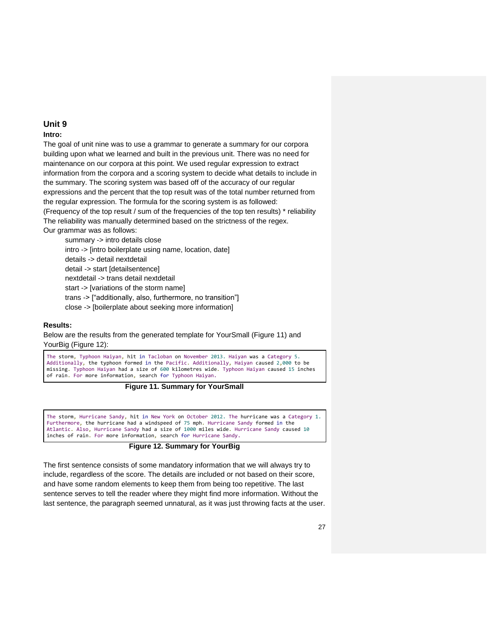#### **Intro:**

The goal of unit nine was to use a grammar to generate a summary for our corpora building upon what we learned and built in the previous unit. There was no need for maintenance on our corpora at this point. We used regular expression to extract information from the corpora and a scoring system to decide what details to include in the summary. The scoring system was based off of the accuracy of our regular expressions and the percent that the top result was of the total number returned from the regular expression. The formula for the scoring system is as followed: (Frequency of the top result / sum of the frequencies of the top ten results) \* reliability The reliability was manually determined based on the strictness of the regex. Our grammar was as follows:

summary -> intro details close intro -> [intro boilerplate using name, location, date] details -> detail nextdetail detail -> start [detailsentence] nextdetail -> trans detail nextdetail start -> [variations of the storm name] trans -> ["additionally, also, furthermore, no transition"] close -> [boilerplate about seeking more information]

#### **Results:**

Below are the results from the generated template for YourSmall (Figure 11) and YourBig (Figure 12):

The storm, Typhoon Haiyan, hit in Tacloban on November 2013. Haiyan was a Category 5. Additionally, the typhoon formed in the Pacific. Additionally, Haiyan caused 2,000 to be missing. Typhoon Haiyan had a size of 600 kilometres wide. Typhoon Haiyan caused 15 inches of rain. For more information, search for Typhoon Haiyan.



The storm, Hurricane Sandy, hit in New York on October 2012. The hurricane was a Category 1. Furthermore, the hurricane had a windspeed of 75 mph. Hurricane Sandy formed in the Atlantic. Also, Hurricane Sandy had a size of 1000 miles wide. Hurricane Sandy caused 10 inches of rain. For more information, search for Hurricane Sandy.

#### **Figure 12. Summary for YourBig**

The first sentence consists of some mandatory information that we will always try to include, regardless of the score. The details are included or not based on their score, and have some random elements to keep them from being too repetitive. The last sentence serves to tell the reader where they might find more information. Without the last sentence, the paragraph seemed unnatural, as it was just throwing facts at the user.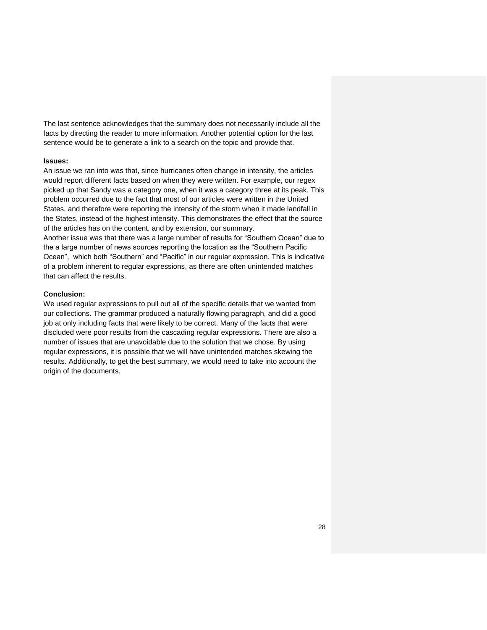The last sentence acknowledges that the summary does not necessarily include all the facts by directing the reader to more information. Another potential option for the last sentence would be to generate a link to a search on the topic and provide that.

#### **Issues:**

An issue we ran into was that, since hurricanes often change in intensity, the articles would report different facts based on when they were written. For example, our regex picked up that Sandy was a category one, when it was a category three at its peak. This problem occurred due to the fact that most of our articles were written in the United States, and therefore were reporting the intensity of the storm when it made landfall in the States, instead of the highest intensity. This demonstrates the effect that the source of the articles has on the content, and by extension, our summary.

Another issue was that there was a large number of results for "Southern Ocean" due to the a large number of news sources reporting the location as the "Southern Pacific Ocean", which both "Southern" and "Pacific" in our regular expression. This is indicative of a problem inherent to regular expressions, as there are often unintended matches that can affect the results.

#### **Conclusion:**

We used regular expressions to pull out all of the specific details that we wanted from our collections. The grammar produced a naturally flowing paragraph, and did a good job at only including facts that were likely to be correct. Many of the facts that were discluded were poor results from the cascading regular expressions. There are also a number of issues that are unavoidable due to the solution that we chose. By using regular expressions, it is possible that we will have unintended matches skewing the results. Additionally, to get the best summary, we would need to take into account the origin of the documents.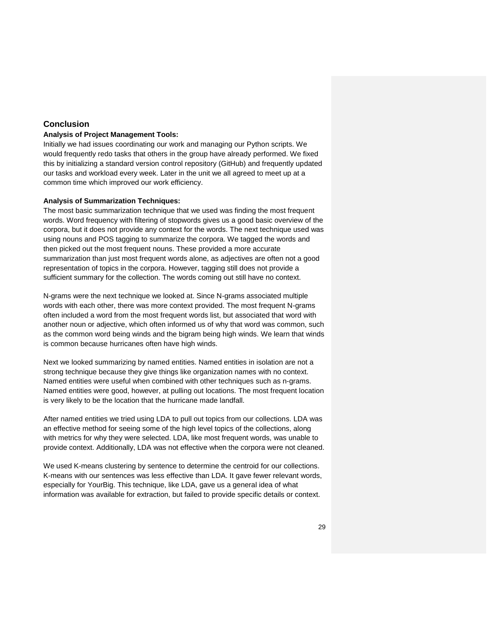## **Conclusion**

#### **Analysis of Project Management Tools:**

Initially we had issues coordinating our work and managing our Python scripts. We would frequently redo tasks that others in the group have already performed. We fixed this by initializing a standard version control repository (GitHub) and frequently updated our tasks and workload every week. Later in the unit we all agreed to meet up at a common time which improved our work efficiency.

#### **Analysis of Summarization Techniques:**

The most basic summarization technique that we used was finding the most frequent words. Word frequency with filtering of stopwords gives us a good basic overview of the corpora, but it does not provide any context for the words. The next technique used was using nouns and POS tagging to summarize the corpora. We tagged the words and then picked out the most frequent nouns. These provided a more accurate summarization than just most frequent words alone, as adjectives are often not a good representation of topics in the corpora. However, tagging still does not provide a sufficient summary for the collection. The words coming out still have no context.

N-grams were the next technique we looked at. Since N-grams associated multiple words with each other, there was more context provided. The most frequent N-grams often included a word from the most frequent words list, but associated that word with another noun or adjective, which often informed us of why that word was common, such as the common word being winds and the bigram being high winds. We learn that winds is common because hurricanes often have high winds.

Next we looked summarizing by named entities. Named entities in isolation are not a strong technique because they give things like organization names with no context. Named entities were useful when combined with other techniques such as n-grams. Named entities were good, however, at pulling out locations. The most frequent location is very likely to be the location that the hurricane made landfall.

After named entities we tried using LDA to pull out topics from our collections. LDA was an effective method for seeing some of the high level topics of the collections, along with metrics for why they were selected. LDA, like most frequent words, was unable to provide context. Additionally, LDA was not effective when the corpora were not cleaned.

We used K-means clustering by sentence to determine the centroid for our collections. K-means with our sentences was less effective than LDA. It gave fewer relevant words, especially for YourBig. This technique, like LDA, gave us a general idea of what information was available for extraction, but failed to provide specific details or context.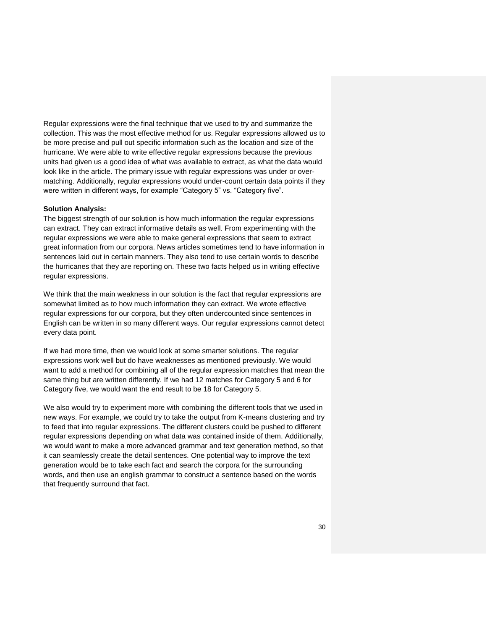Regular expressions were the final technique that we used to try and summarize the collection. This was the most effective method for us. Regular expressions allowed us to be more precise and pull out specific information such as the location and size of the hurricane. We were able to write effective regular expressions because the previous units had given us a good idea of what was available to extract, as what the data would look like in the article. The primary issue with regular expressions was under or overmatching. Additionally, regular expressions would under-count certain data points if they were written in different ways, for example "Category 5" vs. "Category five".

#### **Solution Analysis:**

The biggest strength of our solution is how much information the regular expressions can extract. They can extract informative details as well. From experimenting with the regular expressions we were able to make general expressions that seem to extract great information from our corpora. News articles sometimes tend to have information in sentences laid out in certain manners. They also tend to use certain words to describe the hurricanes that they are reporting on. These two facts helped us in writing effective regular expressions.

We think that the main weakness in our solution is the fact that regular expressions are somewhat limited as to how much information they can extract. We wrote effective regular expressions for our corpora, but they often undercounted since sentences in English can be written in so many different ways. Our regular expressions cannot detect every data point.

If we had more time, then we would look at some smarter solutions. The regular expressions work well but do have weaknesses as mentioned previously. We would want to add a method for combining all of the regular expression matches that mean the same thing but are written differently. If we had 12 matches for Category 5 and 6 for Category five, we would want the end result to be 18 for Category 5.

We also would try to experiment more with combining the different tools that we used in new ways. For example, we could try to take the output from K-means clustering and try to feed that into regular expressions. The different clusters could be pushed to different regular expressions depending on what data was contained inside of them. Additionally, we would want to make a more advanced grammar and text generation method, so that it can seamlessly create the detail sentences. One potential way to improve the text generation would be to take each fact and search the corpora for the surrounding words, and then use an english grammar to construct a sentence based on the words that frequently surround that fact.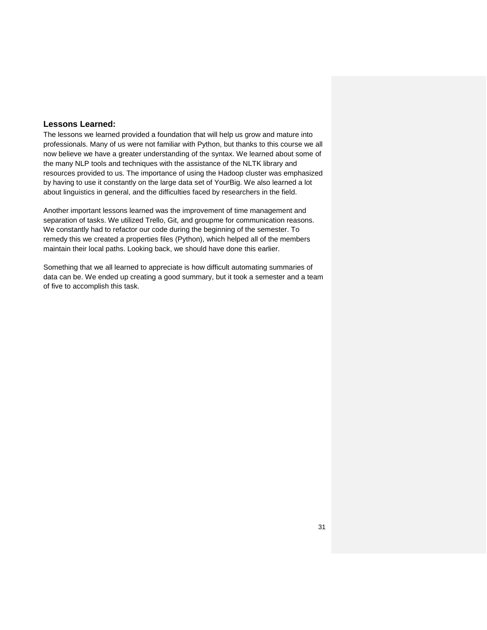#### **Lessons Learned:**

The lessons we learned provided a foundation that will help us grow and mature into professionals. Many of us were not familiar with Python, but thanks to this course we all now believe we have a greater understanding of the syntax. We learned about some of the many NLP tools and techniques with the assistance of the NLTK library and resources provided to us. The importance of using the Hadoop cluster was emphasized by having to use it constantly on the large data set of YourBig. We also learned a lot about linguistics in general, and the difficulties faced by researchers in the field.

Another important lessons learned was the improvement of time management and separation of tasks. We utilized Trello, Git, and groupme for communication reasons. We constantly had to refactor our code during the beginning of the semester. To remedy this we created a properties files (Python), which helped all of the members maintain their local paths. Looking back, we should have done this earlier.

Something that we all learned to appreciate is how difficult automating summaries of data can be. We ended up creating a good summary, but it took a semester and a team of five to accomplish this task.